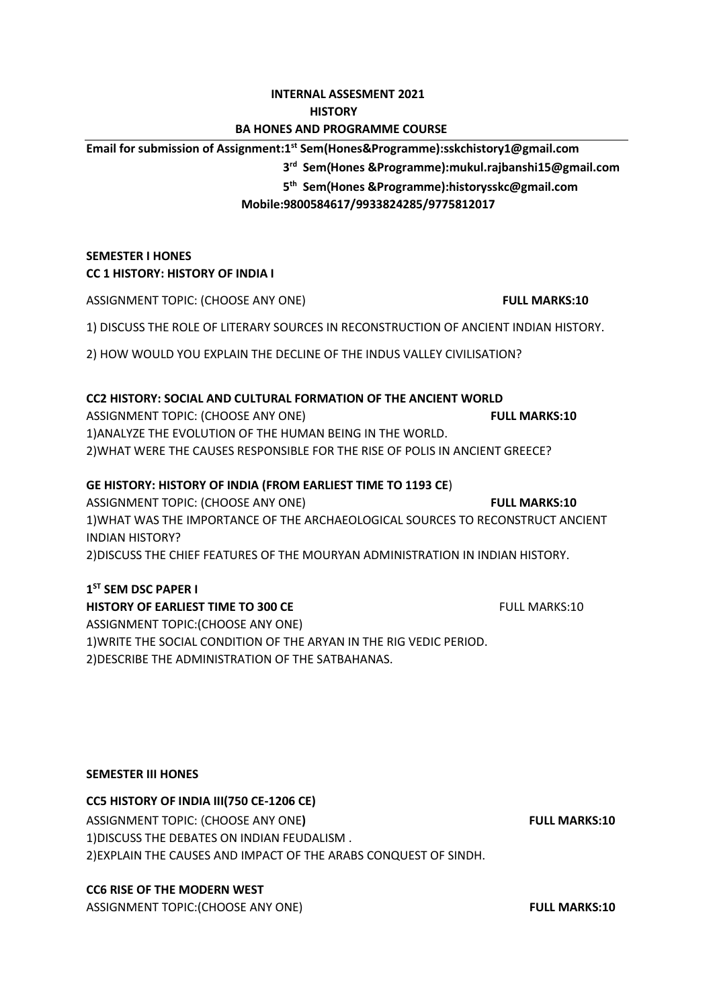# **INTERNAL ASSESMENT 2021**

# **HISTORY**

# **BA HONES AND PROGRAMME COURSE**

**Email for submission of Assignment:1 st Sem(Hones&Programme):sskchistory1@gmail.com**

**3 3 rd Sem**(**Hones &Programme):mukul.rajbanshi15@gmail.com**

**5 5 5 5 th Sem**(**Hones &Programme):historysskc@gmail.com**

 **Mobile:9800584617/9933824285/9775812017**

# **SEMESTER I HONES CC 1 HISTORY: HISTORY OF INDIA I**

ASSIGNMENT TOPIC: (CHOOSE ANY ONE) **FULL MARKS:10**

1) DISCUSS THE ROLE OF LITERARY SOURCES IN RECONSTRUCTION OF ANCIENT INDIAN HISTORY.

2) HOW WOULD YOU EXPLAIN THE DECLINE OF THE INDUS VALLEY CIVILISATION?

# **CC2 HISTORY: SOCIAL AND CULTURAL FORMATION OF THE ANCIENT WORLD**

ASSIGNMENT TOPIC: (CHOOSE ANY ONE) **FULL MARKS:10** 1)ANALYZE THE EVOLUTION OF THE HUMAN BEING IN THE WORLD. 2)WHAT WERE THE CAUSES RESPONSIBLE FOR THE RISE OF POLIS IN ANCIENT GREECE?

# **GE HISTORY: HISTORY OF INDIA (FROM EARLIEST TIME TO 1193 CE**)

ASSIGNMENT TOPIC: (CHOOSE ANY ONE) **FULL MARKS:10** 1)WHAT WAS THE IMPORTANCE OF THE ARCHAEOLOGICAL SOURCES TO RECONSTRUCT ANCIENT INDIAN HISTORY? 2)DISCUSS THE CHIEF FEATURES OF THE MOURYAN ADMINISTRATION IN INDIAN HISTORY.

# **1 ST SEM DSC PAPER I**

**HISTORY OF EARLIEST TIME TO 300 CE FULL MARKS:10** ASSIGNMENT TOPIC:(CHOOSE ANY ONE) 1)WRITE THE SOCIAL CONDITION OF THE ARYAN IN THE RIG VEDIC PERIOD. 2)DESCRIBE THE ADMINISTRATION OF THE SATBAHANAS.

# **SEMESTER III HONES**

# **CC5 HISTORY OF INDIA III(750 CE-1206 CE)**

ASSIGNMENT TOPIC: (CHOOSE ANY ONE) **FULL MARKS:10** 1)DISCUSS THE DEBATES ON INDIAN FEUDALISM . 2)EXPLAIN THE CAUSES AND IMPACT OF THE ARABS CONQUEST OF SINDH.

# **CC6 RISE OF THE MODERN WEST**

ASSIGNMENT TOPIC:(CHOOSE ANY ONE) **FULL MARKS:10**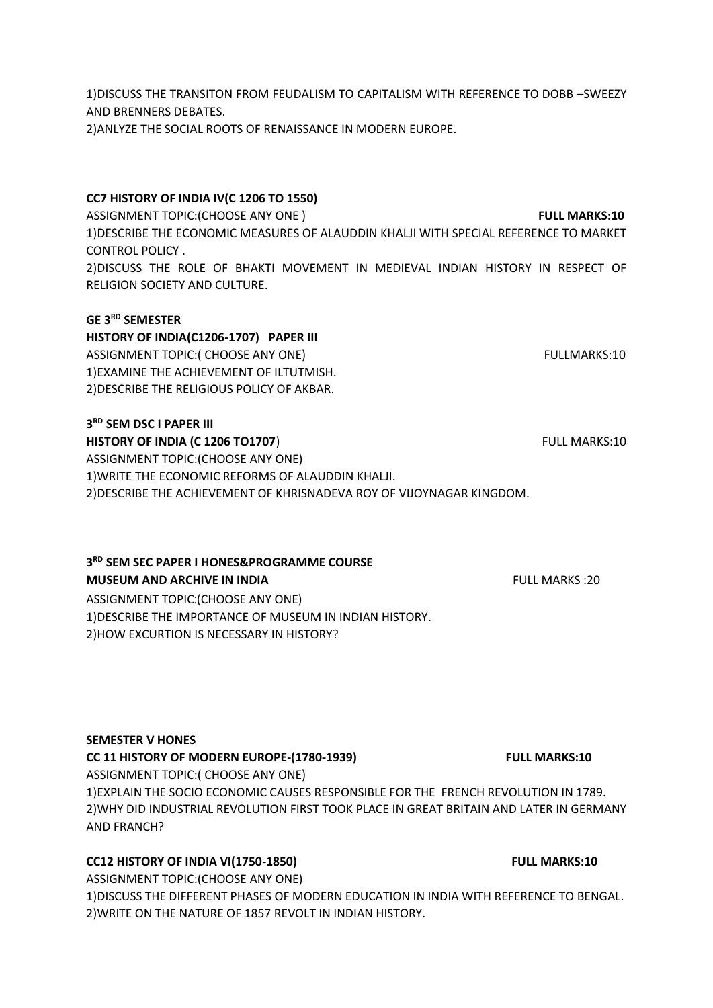1)DISCUSS THE TRANSITON FROM FEUDALISM TO CAPITALISM WITH REFERENCE TO DOBB –SWEEZY AND BRENNERS DEBATES.

2)ANLYZE THE SOCIAL ROOTS OF RENAISSANCE IN MODERN EUROPE.

#### **CC7 HISTORY OF INDIA IV(C 1206 TO 1550)**

ASSIGNMENT TOPIC:(CHOOSE ANY ONE ) **FULL MARKS:10** 1)DESCRIBE THE ECONOMIC MEASURES OF ALAUDDIN KHALJI WITH SPECIAL REFERENCE TO MARKET CONTROL POLICY . 2)DISCUSS THE ROLE OF BHAKTI MOVEMENT IN MEDIEVAL INDIAN HISTORY IN RESPECT OF RELIGION SOCIETY AND CULTURE.

#### **GE 3RD SEMESTER**

**HISTORY OF INDIA(C1206-1707) PAPER III** ASSIGNMENT TOPIC:( CHOOSE ANY ONE) THE SERVICE OF SERVICE AND TOPIC:( CHOOSE ANY ONE) 1)EXAMINE THE ACHIEVEMENT OF ILTUTMISH. 2)DESCRIBE THE RELIGIOUS POLICY OF AKBAR.

#### **3 RD SEM DSC I PAPER III**

**HISTORY OF INDIA (C 1206 TO1707) FULL MARKS:10** ASSIGNMENT TOPIC:(CHOOSE ANY ONE) 1)WRITE THE ECONOMIC REFORMS OF ALAUDDIN KHALJI. 2)DESCRIBE THE ACHIEVEMENT OF KHRISNADEVA ROY OF VIJOYNAGAR KINGDOM.

#### **3 RD SEM SEC PAPER I HONES&PROGRAMME COURSE**

# **MUSEUM AND ARCHIVE IN INDIA AND ARCHIVE IN INDIA FULL MARKS** :20

ASSIGNMENT TOPIC:(CHOOSE ANY ONE) 1)DESCRIBE THE IMPORTANCE OF MUSEUM IN INDIAN HISTORY. 2)HOW EXCURTION IS NECESSARY IN HISTORY?

#### **SEMESTER V HONES**

#### CC 11 HISTORY OF MODERN EUROPE-(1780-1939) FULL MARKS:10

ASSIGNMENT TOPIC:( CHOOSE ANY ONE) 1)EXPLAIN THE SOCIO ECONOMIC CAUSES RESPONSIBLE FOR THE FRENCH REVOLUTION IN 1789. 2)WHY DID INDUSTRIAL REVOLUTION FIRST TOOK PLACE IN GREAT BRITAIN AND LATER IN GERMANY AND FRANCH?

# **CC12 HISTORY OF INDIA VI(1750-1850)** FULL MARKS:10

ASSIGNMENT TOPIC:(CHOOSE ANY ONE) 1)DISCUSS THE DIFFERENT PHASES OF MODERN EDUCATION IN INDIA WITH REFERENCE TO BENGAL. 2)WRITE ON THE NATURE OF 1857 REVOLT IN INDIAN HISTORY.